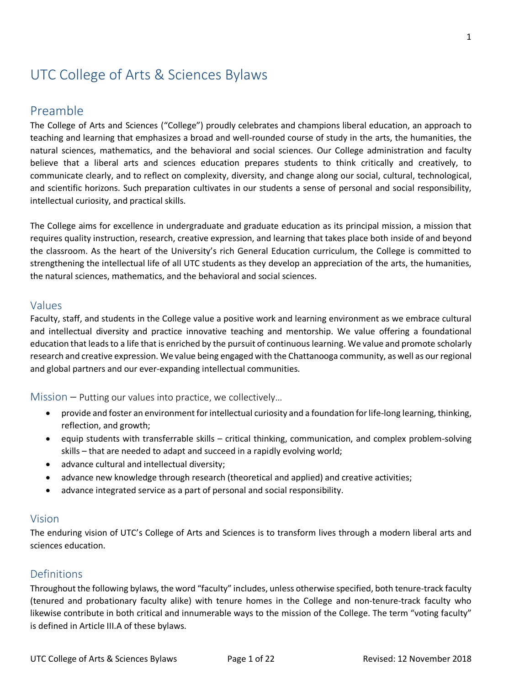# UTC College of Arts & Sciences Bylaws

# Preamble

The College of Arts and Sciences ("College") proudly celebrates and champions liberal education, an approach to teaching and learning that emphasizes a broad and well-rounded course of study in the arts, the humanities, the natural sciences, mathematics, and the behavioral and social sciences. Our College administration and faculty believe that a liberal arts and sciences education prepares students to think critically and creatively, to communicate clearly, and to reflect on complexity, diversity, and change along our social, cultural, technological, and scientific horizons. Such preparation cultivates in our students a sense of personal and social responsibility, intellectual curiosity, and practical skills.

The College aims for excellence in undergraduate and graduate education as its principal mission, a mission that requires quality instruction, research, creative expression, and learning that takes place both inside of and beyond the classroom. As the heart of the University's rich General Education curriculum, the College is committed to strengthening the intellectual life of all UTC students as they develop an appreciation of the arts, the humanities, the natural sciences, mathematics, and the behavioral and social sciences.

### Values

Faculty, staff, and students in the College value a positive work and learning environment as we embrace cultural and intellectual diversity and practice innovative teaching and mentorship. We value offering a foundational education that leads to a life that is enriched by the pursuit of continuous learning. We value and promote scholarly research and creative expression. We value being engaged with the Chattanooga community, as well as our regional and global partners and our ever-expanding intellectual communities.

#### Mission – Putting our values into practice, we collectively...

- provide and foster an environment for intellectual curiosity and a foundation for life-long learning, thinking, reflection, and growth;
- equip students with transferrable skills critical thinking, communication, and complex problem-solving skills – that are needed to adapt and succeed in a rapidly evolving world;
- advance cultural and intellectual diversity;
- advance new knowledge through research (theoretical and applied) and creative activities;
- advance integrated service as a part of personal and social responsibility.

#### Vision

The enduring vision of UTC's College of Arts and Sciences is to transform lives through a modern liberal arts and sciences education.

### Definitions

Throughout the following bylaws, the word "faculty" includes, unless otherwise specified, both tenure-track faculty (tenured and probationary faculty alike) with tenure homes in the College and non-tenure-track faculty who likewise contribute in both critical and innumerable ways to the mission of the College. The term "voting faculty" is defined in Article III.A of these bylaws.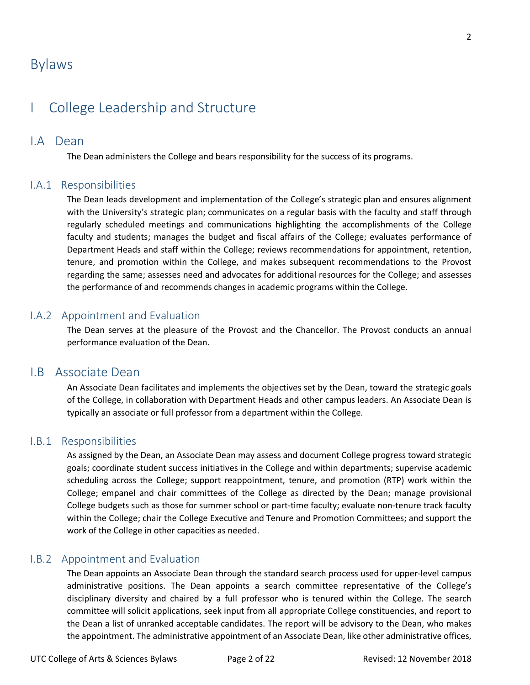# Bylaws

# I College Leadership and Structure

### I.A Dean

The Dean administers the College and bears responsibility for the success of its programs.

### I.A.1 Responsibilities

The Dean leads development and implementation of the College's strategic plan and ensures alignment with the University's strategic plan; communicates on a regular basis with the faculty and staff through regularly scheduled meetings and communications highlighting the accomplishments of the College faculty and students; manages the budget and fiscal affairs of the College; evaluates performance of Department Heads and staff within the College; reviews recommendations for appointment, retention, tenure, and promotion within the College, and makes subsequent recommendations to the Provost regarding the same; assesses need and advocates for additional resources for the College; and assesses the performance of and recommends changes in academic programs within the College.

### I.A.2 Appointment and Evaluation

The Dean serves at the pleasure of the Provost and the Chancellor. The Provost conducts an annual performance evaluation of the Dean.

### I.B Associate Dean

An Associate Dean facilitates and implements the objectives set by the Dean, toward the strategic goals of the College, in collaboration with Department Heads and other campus leaders. An Associate Dean is typically an associate or full professor from a department within the College.

### I.B.1 Responsibilities

As assigned by the Dean, an Associate Dean may assess and document College progress toward strategic goals; coordinate student success initiatives in the College and within departments; supervise academic scheduling across the College; support reappointment, tenure, and promotion (RTP) work within the College; empanel and chair committees of the College as directed by the Dean; manage provisional College budgets such as those for summer school or part-time faculty; evaluate non-tenure track faculty within the College; chair the College Executive and Tenure and Promotion Committees; and support the work of the College in other capacities as needed.

### I.B.2 Appointment and Evaluation

The Dean appoints an Associate Dean through the standard search process used for upper-level campus administrative positions. The Dean appoints a search committee representative of the College's disciplinary diversity and chaired by a full professor who is tenured within the College. The search committee will solicit applications, seek input from all appropriate College constituencies, and report to the Dean a list of unranked acceptable candidates. The report will be advisory to the Dean, who makes the appointment. The administrative appointment of an Associate Dean, like other administrative offices,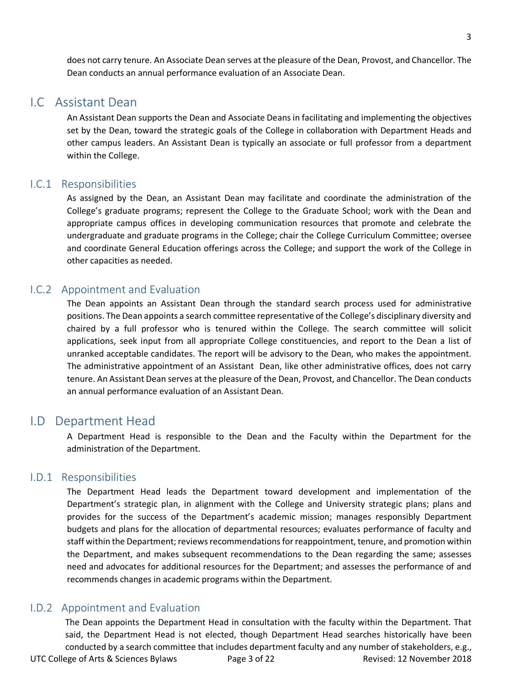does not carry tenure. An Associate Dean serves at the pleasure of the Dean, Provost, and Chancellor. The Dean conducts an annual performance evaluation of an Associate Dean.

### I.C Assistant Dean

An Assistant Dean supports the Dean and Associate Deans in facilitating and implementing the objectives set by the Dean, toward the strategic goals of the College in collaboration with Department Heads and other campus leaders. An Assistant Dean is typically an associate or full professor from a department within the College.

#### I.C.1 Responsibilities

As assigned by the Dean, an Assistant Dean may facilitate and coordinate the administration of the College's graduate programs; represent the College to the Graduate School; work with the Dean and appropriate campus offices in developing communication resources that promote and celebrate the undergraduate and graduate programs in the College; chair the College Curriculum Committee; oversee and coordinate General Education offerings across the College; and support the work of the College in other capacities as needed.

#### I.C.2 Appointment and Evaluation

The Dean appoints an Assistant Dean through the standard search process used for administrative positions. The Dean appoints a search committee representative of the College's disciplinary diversity and chaired by a full professor who is tenured within the College. The search committee will solicit applications, seek input from all appropriate College constituencies, and report to the Dean a list of unranked acceptable candidates. The report will be advisory to the Dean, who makes the appointment. The administrative appointment of an Assistant Dean, like other administrative offices, does not carry tenure. An Assistant Dean serves at the pleasure of the Dean, Provost, and Chancellor. The Dean conducts an annual performance evaluation of an Assistant Dean.

### I.D Department Head

A Department Head is responsible to the Dean and the Faculty within the Department for the administration of the Department.

#### I.D.1 Responsibilities

The Department Head leads the Department toward development and implementation of the Department's strategic plan, in alignment with the College and University strategic plans; plans and provides for the success of the Department's academic mission; manages responsibly Department budgets and plans for the allocation of departmental resources; evaluates performance of faculty and staff within the Department; reviews recommendations for reappointment, tenure, and promotion within the Department, and makes subsequent recommendations to the Dean regarding the same; assesses need and advocates for additional resources for the Department; and assesses the performance of and recommends changes in academic programs within the Department.

#### I.D.2 Appointment and Evaluation

UTC College of Arts & Sciences Bylaws Page 3 of 22 Revised: 12 November 2018 The Dean appoints the Department Head in consultation with the faculty within the Department. That said, the Department Head is not elected, though Department Head searches historically have been conducted by a search committee that includes department faculty and any number of stakeholders, e.g.,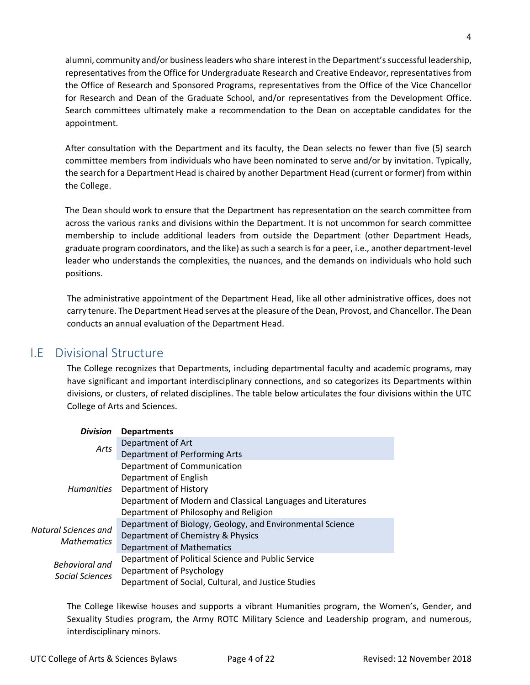alumni, community and/or business leaders who share interest in the Department's successful leadership, representatives from the Office for Undergraduate Research and Creative Endeavor, representatives from the Office of Research and Sponsored Programs, representatives from the Office of the Vice Chancellor for Research and Dean of the Graduate School, and/or representatives from the Development Office. Search committees ultimately make a recommendation to the Dean on acceptable candidates for the appointment.

After consultation with the Department and its faculty, the Dean selects no fewer than five (5) search committee members from individuals who have been nominated to serve and/or by invitation. Typically, the search for a Department Head is chaired by another Department Head (current or former) from within the College.

The Dean should work to ensure that the Department has representation on the search committee from across the various ranks and divisions within the Department. It is not uncommon for search committee membership to include additional leaders from outside the Department (other Department Heads, graduate program coordinators, and the like) as such a search is for a peer, i.e., another department-level leader who understands the complexities, the nuances, and the demands on individuals who hold such positions.

The administrative appointment of the Department Head, like all other administrative offices, does not carry tenure. The Department Head serves at the pleasure of the Dean, Provost, and Chancellor. The Dean conducts an annual evaluation of the Department Head.

# I.E Divisional Structure

The College recognizes that Departments, including departmental faculty and academic programs, may have significant and important interdisciplinary connections, and so categorizes its Departments within divisions, or clusters, of related disciplines. The table below articulates the four divisions within the UTC College of Arts and Sciences.

| <b>Division</b>                            | <b>Departments</b>                                           |
|--------------------------------------------|--------------------------------------------------------------|
| Arts                                       | Department of Art                                            |
|                                            | Department of Performing Arts                                |
| <b>Humanities</b>                          | Department of Communication                                  |
|                                            | Department of English                                        |
|                                            | Department of History                                        |
|                                            | Department of Modern and Classical Languages and Literatures |
|                                            | Department of Philosophy and Religion                        |
| Natural Sciences and<br><b>Mathematics</b> | Department of Biology, Geology, and Environmental Science    |
|                                            | Department of Chemistry & Physics                            |
|                                            | <b>Department of Mathematics</b>                             |
| <b>Behavioral and</b><br>Social Sciences   | Department of Political Science and Public Service           |
|                                            | Department of Psychology                                     |
|                                            | Department of Social, Cultural, and Justice Studies          |

The College likewise houses and supports a vibrant Humanities program, the Women's, Gender, and Sexuality Studies program, the Army ROTC Military Science and Leadership program, and numerous, interdisciplinary minors.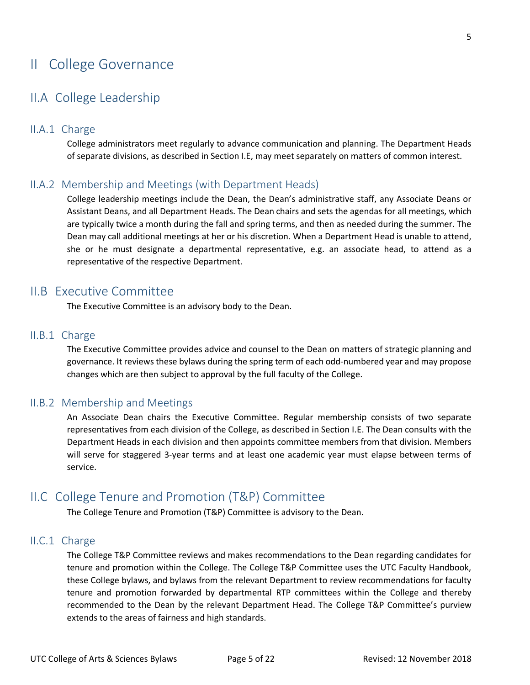# II College Governance

# II.A College Leadership

#### II.A.1 Charge

College administrators meet regularly to advance communication and planning. The Department Heads of separate divisions, as described in Section I.E, may meet separately on matters of common interest.

### II.A.2 Membership and Meetings (with Department Heads)

College leadership meetings include the Dean, the Dean's administrative staff, any Associate Deans or Assistant Deans, and all Department Heads. The Dean chairs and sets the agendas for all meetings, which are typically twice a month during the fall and spring terms, and then as needed during the summer. The Dean may call additional meetings at her or his discretion. When a Department Head is unable to attend, she or he must designate a departmental representative, e.g. an associate head, to attend as a representative of the respective Department.

### II.B Executive Committee

The Executive Committee is an advisory body to the Dean.

#### II.B.1 Charge

The Executive Committee provides advice and counsel to the Dean on matters of strategic planning and governance. It reviews these bylaws during the spring term of each odd-numbered year and may propose changes which are then subject to approval by the full faculty of the College.

### II.B.2 Membership and Meetings

An Associate Dean chairs the Executive Committee. Regular membership consists of two separate representatives from each division of the College, as described in Section I.E. The Dean consults with the Department Heads in each division and then appoints committee members from that division. Members will serve for staggered 3-year terms and at least one academic year must elapse between terms of service.

# II.C College Tenure and Promotion (T&P) Committee

The College Tenure and Promotion (T&P) Committee is advisory to the Dean.

#### II.C.1 Charge

The College T&P Committee reviews and makes recommendations to the Dean regarding candidates for tenure and promotion within the College. The College T&P Committee uses the UTC Faculty Handbook, these College bylaws, and bylaws from the relevant Department to review recommendations for faculty tenure and promotion forwarded by departmental RTP committees within the College and thereby recommended to the Dean by the relevant Department Head. The College T&P Committee's purview extends to the areas of fairness and high standards.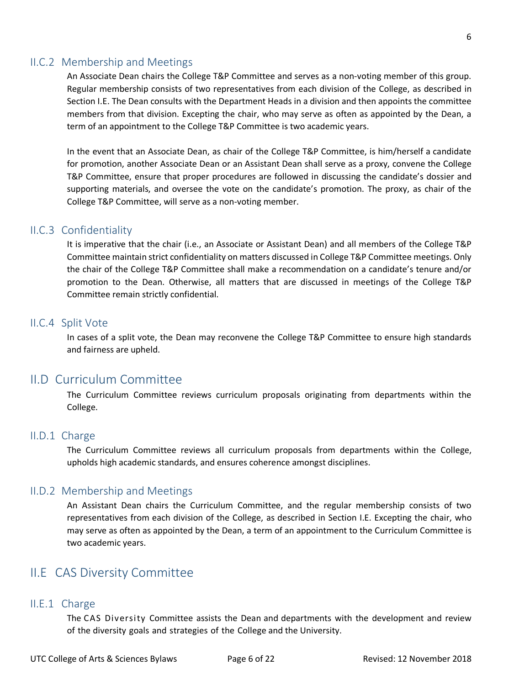#### II.C.2 Membership and Meetings

An Associate Dean chairs the College T&P Committee and serves as a non-voting member of this group. Regular membership consists of two representatives from each division of the College, as described in Section I.E. The Dean consults with the Department Heads in a division and then appoints the committee members from that division. Excepting the chair, who may serve as often as appointed by the Dean, a term of an appointment to the College T&P Committee is two academic years.

In the event that an Associate Dean, as chair of the College T&P Committee, is him/herself a candidate for promotion, another Associate Dean or an Assistant Dean shall serve as a proxy, convene the College T&P Committee, ensure that proper procedures are followed in discussing the candidate's dossier and supporting materials, and oversee the vote on the candidate's promotion. The proxy, as chair of the College T&P Committee, will serve as a non-voting member.

#### II.C.3 Confidentiality

It is imperative that the chair (i.e., an Associate or Assistant Dean) and all members of the College T&P Committee maintain strict confidentiality on matters discussed in College T&P Committee meetings. Only the chair of the College T&P Committee shall make a recommendation on a candidate's tenure and/or promotion to the Dean. Otherwise, all matters that are discussed in meetings of the College T&P Committee remain strictly confidential.

#### II.C.4 Split Vote

In cases of a split vote, the Dean may reconvene the College T&P Committee to ensure high standards and fairness are upheld.

### II.D Curriculum Committee

The Curriculum Committee reviews curriculum proposals originating from departments within the College.

#### II.D.1 Charge

The Curriculum Committee reviews all curriculum proposals from departments within the College, upholds high academic standards, and ensures coherence amongst disciplines.

#### II.D.2 Membership and Meetings

An Assistant Dean chairs the Curriculum Committee, and the regular membership consists of two representatives from each division of the College, as described in Section I.E. Excepting the chair, who may serve as often as appointed by the Dean, a term of an appointment to the Curriculum Committee is two academic years.

### II.E CAS Diversity Committee

#### II.E.1 Charge

The CAS Diversity Committee assists the Dean and departments with the development and review of the diversity goals and strategies of the College and the University.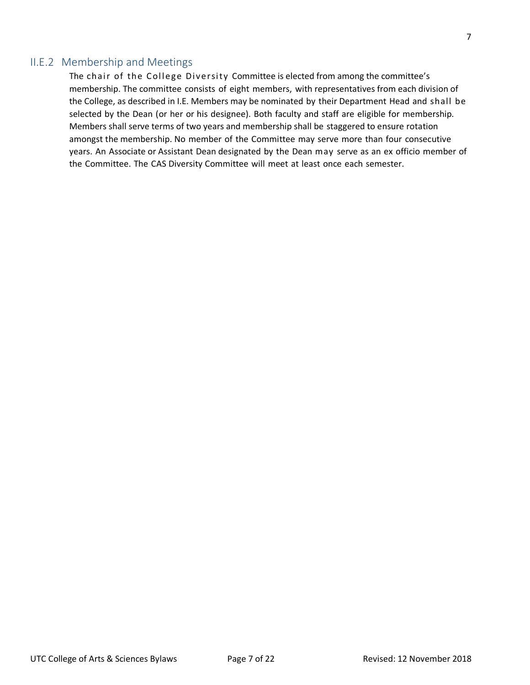### II.E.2 Membership and Meetings

The chair of the College Diversity Committee is elected from among the committee's membership. The committee consists of eight members, with representatives from each division of the College, as described in I.E. Members may be nominated by their Department Head and shall be selected by the Dean (or her or his designee). Both faculty and staff are eligible for membership. Members shall serve terms of two years and membership shall be staggered to ensure rotation amongst the membership. No member of the Committee may serve more than four consecutive years. An Associate or Assistant Dean designated by the Dean may serve as an ex officio member of the Committee. The CAS Diversity Committee will meet at least once each semester.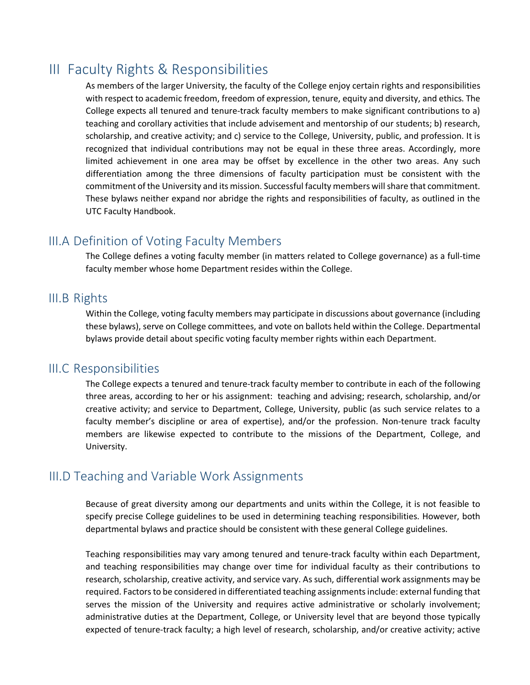# III Faculty Rights & Responsibilities

As members of the larger University, the faculty of the College enjoy certain rights and responsibilities with respect to academic freedom, freedom of expression, tenure, equity and diversity, and ethics. The College expects all tenured and tenure-track faculty members to make significant contributions to a) teaching and corollary activities that include advisement and mentorship of our students; b) research, scholarship, and creative activity; and c) service to the College, University, public, and profession. It is recognized that individual contributions may not be equal in these three areas. Accordingly, more limited achievement in one area may be offset by excellence in the other two areas. Any such differentiation among the three dimensions of faculty participation must be consistent with the commitment of the University and its mission. Successful faculty members will share that commitment. These bylaws neither expand nor abridge the rights and responsibilities of faculty, as outlined in the UTC Faculty Handbook.

# III.A Definition of Voting Faculty Members

The College defines a voting faculty member (in matters related to College governance) as a full-time faculty member whose home Department resides within the College.

## III.B Rights

Within the College, voting faculty members may participate in discussions about governance (including these bylaws), serve on College committees, and vote on ballots held within the College. Departmental bylaws provide detail about specific voting faculty member rights within each Department.

### III.C Responsibilities

The College expects a tenured and tenure-track faculty member to contribute in each of the following three areas, according to her or his assignment: teaching and advising; research, scholarship, and/or creative activity; and service to Department, College, University, public (as such service relates to a faculty member's discipline or area of expertise), and/or the profession. Non-tenure track faculty members are likewise expected to contribute to the missions of the Department, College, and University.

# III.D Teaching and Variable Work Assignments

Because of great diversity among our departments and units within the College, it is not feasible to specify precise College guidelines to be used in determining teaching responsibilities. However, both departmental bylaws and practice should be consistent with these general College guidelines.

Teaching responsibilities may vary among tenured and tenure-track faculty within each Department, and teaching responsibilities may change over time for individual faculty as their contributions to research, scholarship, creative activity, and service vary. As such, differential work assignments may be required. Factors to be considered in differentiated teaching assignments include: external funding that serves the mission of the University and requires active administrative or scholarly involvement; administrative duties at the Department, College, or University level that are beyond those typically expected of tenure-track faculty; a high level of research, scholarship, and/or creative activity; active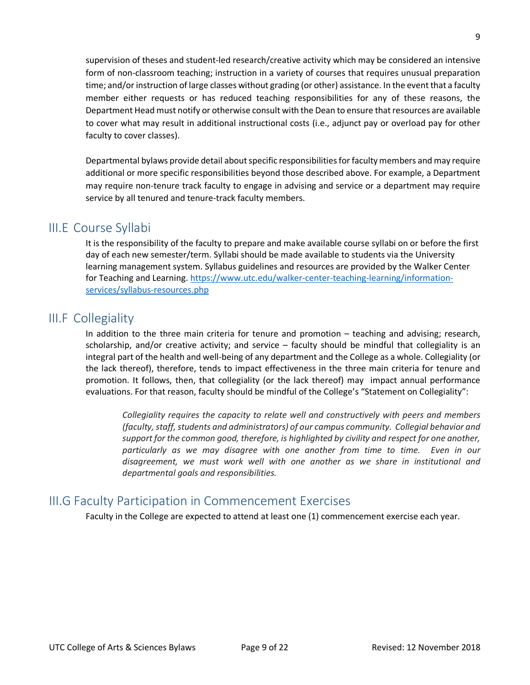supervision of theses and student-led research/creative activity which may be considered an intensive form of non-classroom teaching; instruction in a variety of courses that requires unusual preparation time; and/or instruction of large classes without grading (or other) assistance. In the event that a faculty member either requests or has reduced teaching responsibilities for any of these reasons, the Department Head must notify or otherwise consult with the Dean to ensure that resources are available to cover what may result in additional instructional costs (i.e., adjunct pay or overload pay for other faculty to cover classes).

Departmental bylaws provide detail about specific responsibilities for faculty members and may require additional or more specific responsibilities beyond those described above. For example, a Department may require non-tenure track faculty to engage in advising and service or a department may require service by all tenured and tenure-track faculty members.

### III.E Course Syllabi

It is the responsibility of the faculty to prepare and make available course syllabi on or before the first day of each new semester/term. Syllabi should be made available to students via the University learning management system. Syllabus guidelines and resources are provided by the Walker Center for Teaching and Learning. https://www.utc.edu/walker-center-teaching-learning/informationservices/syllabus-resources.php

## III.F Collegiality

In addition to the three main criteria for tenure and promotion – teaching and advising; research, scholarship, and/or creative activity; and service – faculty should be mindful that collegiality is an integral part of the health and well-being of any department and the College as a whole. Collegiality (or the lack thereof), therefore, tends to impact effectiveness in the three main criteria for tenure and promotion. It follows, then, that collegiality (or the lack thereof) may impact annual performance evaluations. For that reason, faculty should be mindful of the College's "Statement on Collegiality":

*Collegiality requires the capacity to relate well and constructively with peers and members (faculty, staff, students and administrators) of our campus community. Collegial behavior and support for the common good, therefore, is highlighted by civility and respect for one another, particularly as we may disagree with one another from time to time. Even in our disagreement, we must work well with one another as we share in institutional and departmental goals and responsibilities.* 

### III.G Faculty Participation in Commencement Exercises

Faculty in the College are expected to attend at least one (1) commencement exercise each year.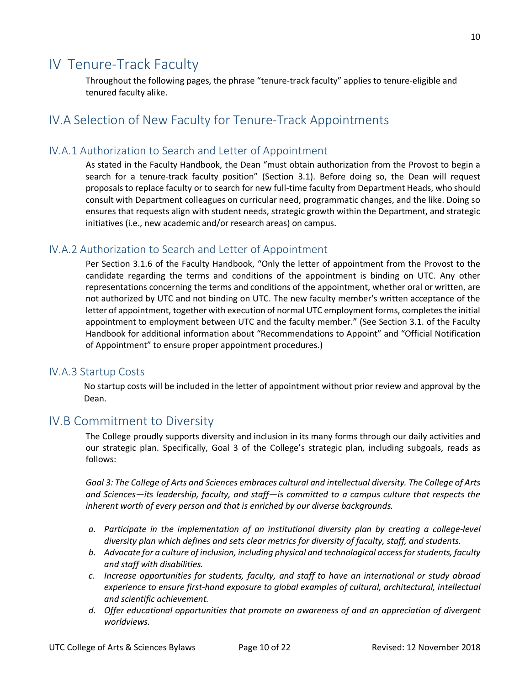# IV Tenure-Track Faculty

Throughout the following pages, the phrase "tenure-track faculty" applies to tenure-eligible and tenured faculty alike.

# IV.A Selection of New Faculty for Tenure-Track Appointments

### IV.A.1 Authorization to Search and Letter of Appointment

As stated in the Faculty Handbook, the Dean "must obtain authorization from the Provost to begin a search for a tenure-track faculty position" (Section 3.1). Before doing so, the Dean will request proposals to replace faculty or to search for new full-time faculty from Department Heads, who should consult with Department colleagues on curricular need, programmatic changes, and the like. Doing so ensures that requests align with student needs, strategic growth within the Department, and strategic initiatives (i.e., new academic and/or research areas) on campus.

### IV.A.2 Authorization to Search and Letter of Appointment

Per Section 3.1.6 of the Faculty Handbook, "Only the letter of appointment from the Provost to the candidate regarding the terms and conditions of the appointment is binding on UTC. Any other representations concerning the terms and conditions of the appointment, whether oral or written, are not authorized by UTC and not binding on UTC. The new faculty member's written acceptance of the letter of appointment, together with execution of normal UTC employment forms, completes the initial appointment to employment between UTC and the faculty member." (See Section 3.1. of the Faculty Handbook for additional information about "Recommendations to Appoint" and "Official Notification of Appointment" to ensure proper appointment procedures.)

#### IV.A.3 Startup Costs

No startup costs will be included in the letter of appointment without prior review and approval by the Dean.

### IV.B Commitment to Diversity

The College proudly supports diversity and inclusion in its many forms through our daily activities and our strategic plan. Specifically, Goal 3 of the College's strategic plan, including subgoals, reads as follows:

*Goal 3: The College of Arts and Sciences embraces cultural and intellectual diversity. The College of Arts and Sciences—its leadership, faculty, and staff—is committed to a campus culture that respects the inherent worth of every person and that is enriched by our diverse backgrounds.* 

- *a. Participate in the implementation of an institutional diversity plan by creating a college-level diversity plan which defines and sets clear metrics for diversity of faculty, staff, and students.*
- *b. Advocate for a culture of inclusion, including physical and technological access for students, faculty and staff with disabilities.*
- *c. Increase opportunities for students, faculty, and staff to have an international or study abroad experience to ensure first-hand exposure to global examples of cultural, architectural, intellectual and scientific achievement.*
- *d. Offer educational opportunities that promote an awareness of and an appreciation of divergent worldviews.*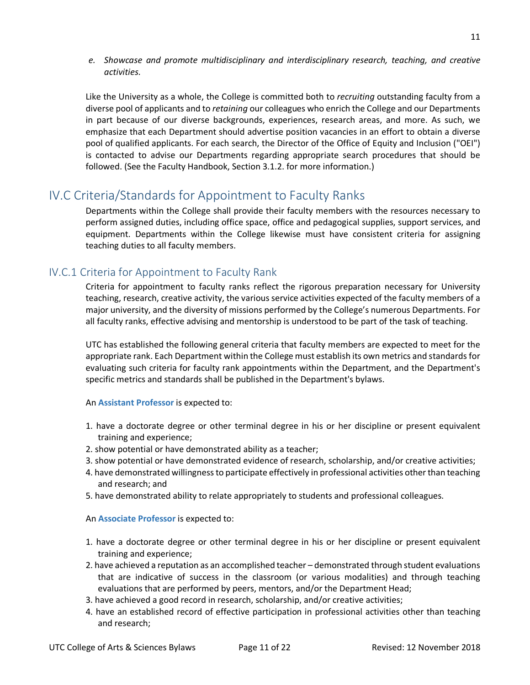*e. Showcase and promote multidisciplinary and interdisciplinary research, teaching, and creative activities.*

Like the University as a whole, the College is committed both to *recruiting* outstanding faculty from a diverse pool of applicants and to *retaining* our colleagues who enrich the College and our Departments in part because of our diverse backgrounds, experiences, research areas, and more. As such, we emphasize that each Department should advertise position vacancies in an effort to obtain a diverse pool of qualified applicants. For each search, the Director of the Office of Equity and Inclusion ("OEI") is contacted to advise our Departments regarding appropriate search procedures that should be followed. (See the Faculty Handbook, Section 3.1.2. for more information.)

# IV.C Criteria/Standards for Appointment to Faculty Ranks

Departments within the College shall provide their faculty members with the resources necessary to perform assigned duties, including office space, office and pedagogical supplies, support services, and equipment. Departments within the College likewise must have consistent criteria for assigning teaching duties to all faculty members.

### IV.C.1 Criteria for Appointment to Faculty Rank

Criteria for appointment to faculty ranks reflect the rigorous preparation necessary for University teaching, research, creative activity, the various service activities expected of the faculty members of a major university, and the diversity of missions performed by the College's numerous Departments. For all faculty ranks, effective advising and mentorship is understood to be part of the task of teaching.

UTC has established the following general criteria that faculty members are expected to meet for the appropriate rank. Each Department within the College must establish its own metrics and standards for evaluating such criteria for faculty rank appointments within the Department, and the Department's specific metrics and standards shall be published in the Department's bylaws.

#### An **Assistant Professor** is expected to:

- 1. have a doctorate degree or other terminal degree in his or her discipline or present equivalent training and experience;
- 2. show potential or have demonstrated ability as a teacher;
- 3. show potential or have demonstrated evidence of research, scholarship, and/or creative activities;
- 4. have demonstrated willingness to participate effectively in professional activities other than teaching and research; and
- 5. have demonstrated ability to relate appropriately to students and professional colleagues.

#### An **Associate Professor** is expected to:

- 1. have a doctorate degree or other terminal degree in his or her discipline or present equivalent training and experience;
- 2. have achieved a reputation as an accomplished teacher demonstrated through student evaluations that are indicative of success in the classroom (or various modalities) and through teaching evaluations that are performed by peers, mentors, and/or the Department Head;
- 3. have achieved a good record in research, scholarship, and/or creative activities;
- 4. have an established record of effective participation in professional activities other than teaching and research;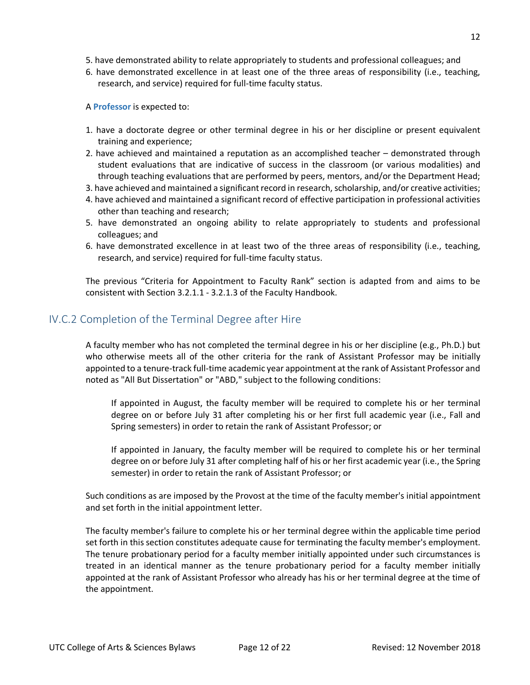- 5. have demonstrated ability to relate appropriately to students and professional colleagues; and
- 6. have demonstrated excellence in at least one of the three areas of responsibility (i.e., teaching, research, and service) required for full-time faculty status.

A **Professor** is expected to:

- 1. have a doctorate degree or other terminal degree in his or her discipline or present equivalent training and experience;
- 2. have achieved and maintained a reputation as an accomplished teacher demonstrated through student evaluations that are indicative of success in the classroom (or various modalities) and through teaching evaluations that are performed by peers, mentors, and/or the Department Head;
- 3. have achieved and maintained a significant record in research, scholarship, and/or creative activities;
- 4. have achieved and maintained a significant record of effective participation in professional activities other than teaching and research;
- 5. have demonstrated an ongoing ability to relate appropriately to students and professional colleagues; and
- 6. have demonstrated excellence in at least two of the three areas of responsibility (i.e., teaching, research, and service) required for full-time faculty status.

The previous "Criteria for Appointment to Faculty Rank" section is adapted from and aims to be consistent with Section 3.2.1.1 - 3.2.1.3 of the Faculty Handbook.

### IV.C.2 Completion of the Terminal Degree after Hire

A faculty member who has not completed the terminal degree in his or her discipline (e.g., Ph.D.) but who otherwise meets all of the other criteria for the rank of Assistant Professor may be initially appointed to a tenure-track full-time academic year appointment at the rank of Assistant Professor and noted as "All But Dissertation" or "ABD," subject to the following conditions:

If appointed in August, the faculty member will be required to complete his or her terminal degree on or before July 31 after completing his or her first full academic year (i.e., Fall and Spring semesters) in order to retain the rank of Assistant Professor; or

If appointed in January, the faculty member will be required to complete his or her terminal degree on or before July 31 after completing half of his or her first academic year (i.e., the Spring semester) in order to retain the rank of Assistant Professor; or

Such conditions as are imposed by the Provost at the time of the faculty member's initial appointment and set forth in the initial appointment letter.

The faculty member's failure to complete his or her terminal degree within the applicable time period set forth in this section constitutes adequate cause for terminating the faculty member's employment. The tenure probationary period for a faculty member initially appointed under such circumstances is treated in an identical manner as the tenure probationary period for a faculty member initially appointed at the rank of Assistant Professor who already has his or her terminal degree at the time of the appointment.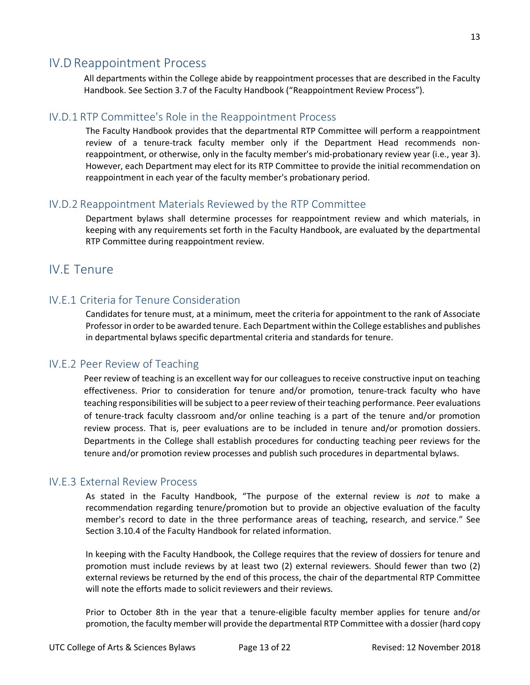### IV.D Reappointment Process

All departments within the College abide by reappointment processes that are described in the Faculty Handbook. See Section 3.7 of the Faculty Handbook ("Reappointment Review Process").

### IV.D.1 RTP Committee's Role in the Reappointment Process

The Faculty Handbook provides that the departmental RTP Committee will perform a reappointment review of a tenure-track faculty member only if the Department Head recommends nonreappointment, or otherwise, only in the faculty member's mid-probationary review year (i.e., year 3). However, each Department may elect for its RTP Committee to provide the initial recommendation on reappointment in each year of the faculty member's probationary period.

### IV.D.2 Reappointment Materials Reviewed by the RTP Committee

Department bylaws shall determine processes for reappointment review and which materials, in keeping with any requirements set forth in the Faculty Handbook, are evaluated by the departmental RTP Committee during reappointment review.

## IV.E Tenure

### IV.E.1 Criteria for Tenure Consideration

Candidates for tenure must, at a minimum, meet the criteria for appointment to the rank of Associate Professor in order to be awarded tenure. Each Department within the College establishes and publishes in departmental bylaws specific departmental criteria and standards for tenure.

### IV.E.2 Peer Review of Teaching

Peer review of teaching is an excellent way for our colleagues to receive constructive input on teaching effectiveness. Prior to consideration for tenure and/or promotion, tenure-track faculty who have teaching responsibilities will be subject to a peer review of their teaching performance. Peer evaluations of tenure-track faculty classroom and/or online teaching is a part of the tenure and/or promotion review process. That is, peer evaluations are to be included in tenure and/or promotion dossiers. Departments in the College shall establish procedures for conducting teaching peer reviews for the tenure and/or promotion review processes and publish such procedures in departmental bylaws.

### IV.E.3 External Review Process

As stated in the Faculty Handbook, "The purpose of the external review is *not* to make a recommendation regarding tenure/promotion but to provide an objective evaluation of the faculty member's record to date in the three performance areas of teaching, research, and service." See Section 3.10.4 of the Faculty Handbook for related information.

In keeping with the Faculty Handbook, the College requires that the review of dossiers for tenure and promotion must include reviews by at least two (2) external reviewers. Should fewer than two (2) external reviews be returned by the end of this process, the chair of the departmental RTP Committee will note the efforts made to solicit reviewers and their reviews.

Prior to October 8th in the year that a tenure-eligible faculty member applies for tenure and/or promotion, the faculty member will provide the departmental RTP Committee with a dossier (hard copy

13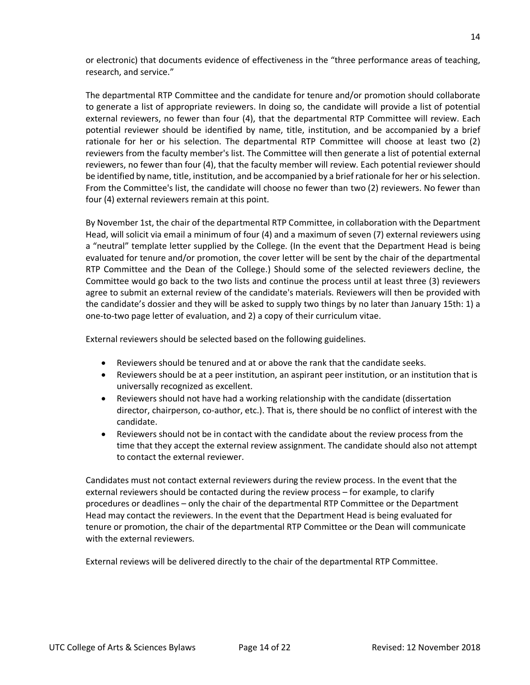or electronic) that documents evidence of effectiveness in the "three performance areas of teaching, research, and service."

The departmental RTP Committee and the candidate for tenure and/or promotion should collaborate to generate a list of appropriate reviewers. In doing so, the candidate will provide a list of potential external reviewers, no fewer than four (4), that the departmental RTP Committee will review. Each potential reviewer should be identified by name, title, institution, and be accompanied by a brief rationale for her or his selection. The departmental RTP Committee will choose at least two (2) reviewers from the faculty member's list. The Committee will then generate a list of potential external reviewers, no fewer than four (4), that the faculty member will review. Each potential reviewer should be identified by name, title, institution, and be accompanied by a brief rationale for her or hisselection. From the Committee's list, the candidate will choose no fewer than two (2) reviewers. No fewer than four (4) external reviewers remain at this point.

By November 1st, the chair of the departmental RTP Committee, in collaboration with the Department Head, will solicit via email a minimum of four (4) and a maximum of seven (7) external reviewers using a "neutral" template letter supplied by the College. (In the event that the Department Head is being evaluated for tenure and/or promotion, the cover letter will be sent by the chair of the departmental RTP Committee and the Dean of the College.) Should some of the selected reviewers decline, the Committee would go back to the two lists and continue the process until at least three (3) reviewers agree to submit an external review of the candidate's materials. Reviewers will then be provided with the candidate's dossier and they will be asked to supply two things by no later than January 15th: 1) a one-to-two page letter of evaluation, and 2) a copy of their curriculum vitae.

External reviewers should be selected based on the following guidelines.

- Reviewers should be tenured and at or above the rank that the candidate seeks.
- Reviewers should be at a peer institution, an aspirant peer institution, or an institution that is universally recognized as excellent.
- Reviewers should not have had a working relationship with the candidate (dissertation director, chairperson, co-author, etc.). That is, there should be no conflict of interest with the candidate.
- Reviewers should not be in contact with the candidate about the review process from the time that they accept the external review assignment. The candidate should also not attempt to contact the external reviewer.

Candidates must not contact external reviewers during the review process. In the event that the external reviewers should be contacted during the review process – for example, to clarify procedures or deadlines – only the chair of the departmental RTP Committee or the Department Head may contact the reviewers. In the event that the Department Head is being evaluated for tenure or promotion, the chair of the departmental RTP Committee or the Dean will communicate with the external reviewers.

External reviews will be delivered directly to the chair of the departmental RTP Committee.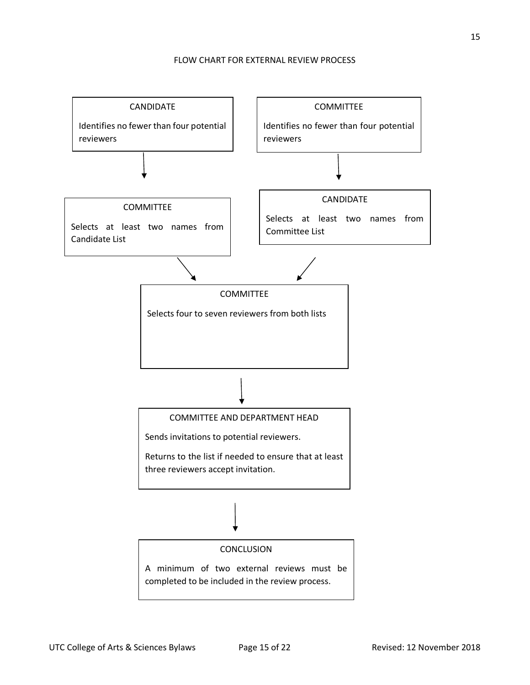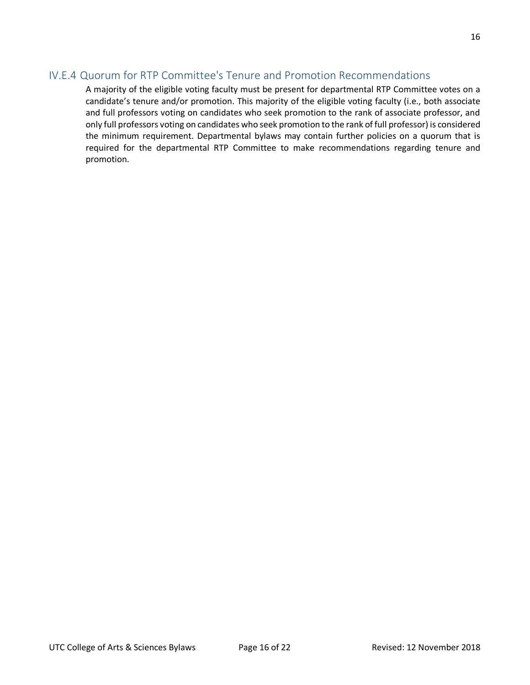### IV.E.4 Quorum for RTP Committee's Tenure and Promotion Recommendations

A majority of the eligible voting faculty must be present for departmental RTP Committee votes on a candidate's tenure and/or promotion. This majority of the eligible voting faculty (i.e., both associate and full professors voting on candidates who seek promotion to the rank of associate professor, and only full professors voting on candidates who seek promotion to the rank of full professor) is considered the minimum requirement. Departmental bylaws may contain further policies on a quorum that is required for the departmental RTP Committee to make recommendations regarding tenure and promotion.

16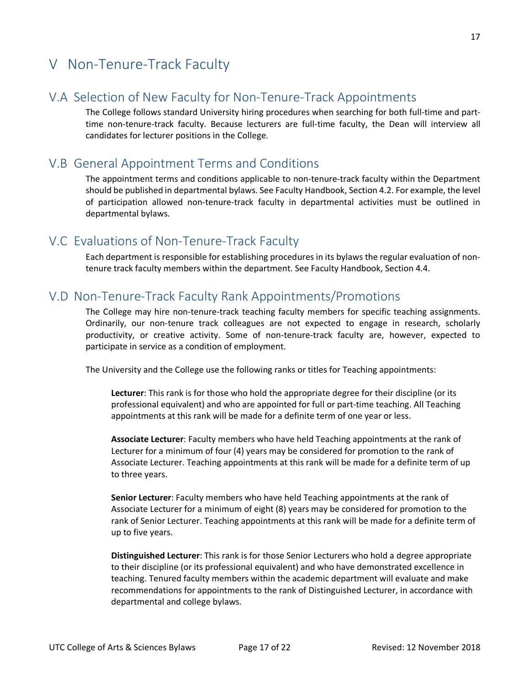# V Non-Tenure-Track Faculty

### V.A Selection of New Faculty for Non-Tenure-Track Appointments

The College follows standard University hiring procedures when searching for both full-time and parttime non-tenure-track faculty. Because lecturers are full-time faculty, the Dean will interview all candidates for lecturer positions in the College.

### V.B General Appointment Terms and Conditions

The appointment terms and conditions applicable to non-tenure-track faculty within the Department should be published in departmental bylaws. See Faculty Handbook, Section 4.2. For example, the level of participation allowed non-tenure-track faculty in departmental activities must be outlined in departmental bylaws.

### V.C Evaluations of Non-Tenure-Track Faculty

Each department is responsible for establishing procedures in its bylaws the regular evaluation of nontenure track faculty members within the department. See Faculty Handbook, Section 4.4.

# V.D Non-Tenure-Track Faculty Rank Appointments/Promotions

The College may hire non-tenure-track teaching faculty members for specific teaching assignments. Ordinarily, our non-tenure track colleagues are not expected to engage in research, scholarly productivity, or creative activity. Some of non-tenure-track faculty are, however, expected to participate in service as a condition of employment.

The University and the College use the following ranks or titles for Teaching appointments:

**Lecturer**: This rank is for those who hold the appropriate degree for their discipline (or its professional equivalent) and who are appointed for full or part-time teaching. All Teaching appointments at this rank will be made for a definite term of one year or less.

**Associate Lecturer**: Faculty members who have held Teaching appointments at the rank of Lecturer for a minimum of four (4) years may be considered for promotion to the rank of Associate Lecturer. Teaching appointments at this rank will be made for a definite term of up to three years.

**Senior Lecturer**: Faculty members who have held Teaching appointments at the rank of Associate Lecturer for a minimum of eight (8) years may be considered for promotion to the rank of Senior Lecturer. Teaching appointments at this rank will be made for a definite term of up to five years.

**Distinguished Lecturer**: This rank is for those Senior Lecturers who hold a degree appropriate to their discipline (or its professional equivalent) and who have demonstrated excellence in teaching. Tenured faculty members within the academic department will evaluate and make recommendations for appointments to the rank of Distinguished Lecturer, in accordance with departmental and college bylaws.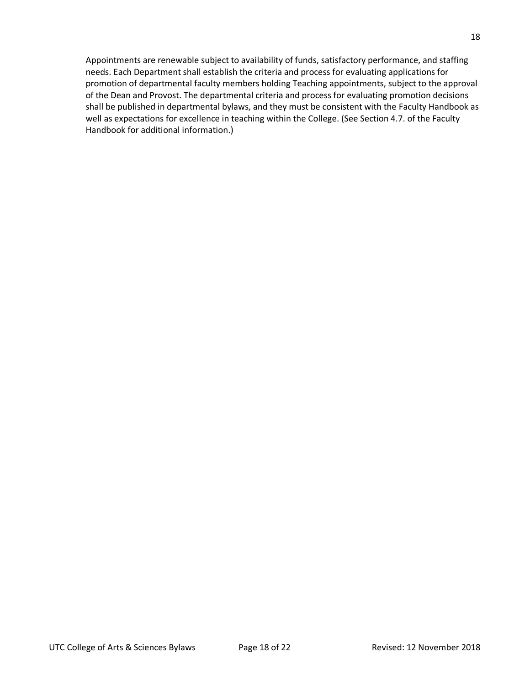Appointments are renewable subject to availability of funds, satisfactory performance, and staffing needs. Each Department shall establish the criteria and process for evaluating applications for promotion of departmental faculty members holding Teaching appointments, subject to the approval of the Dean and Provost. The departmental criteria and process for evaluating promotion decisions shall be published in departmental bylaws, and they must be consistent with the Faculty Handbook as well as expectations for excellence in teaching within the College. (See Section 4.7. of the Faculty Handbook for additional information.)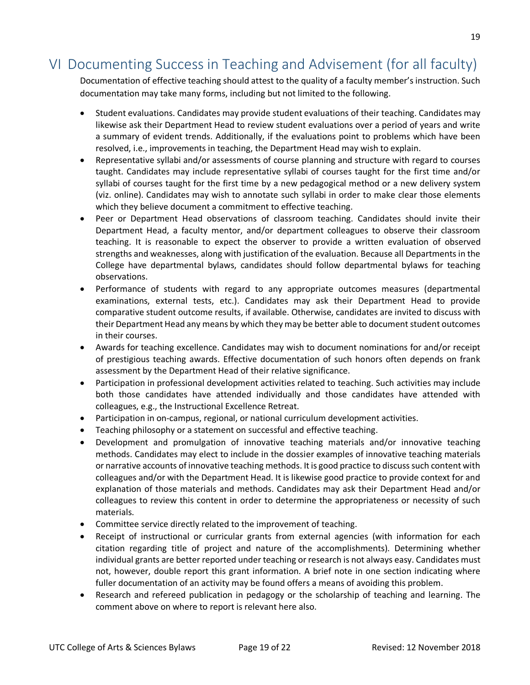# VI Documenting Success in Teaching and Advisement (for all faculty)

Documentation of effective teaching should attest to the quality of a faculty member's instruction. Such documentation may take many forms, including but not limited to the following.

- Student evaluations. Candidates may provide student evaluations of their teaching. Candidates may likewise ask their Department Head to review student evaluations over a period of years and write a summary of evident trends. Additionally, if the evaluations point to problems which have been resolved, i.e., improvements in teaching, the Department Head may wish to explain.
- Representative syllabi and/or assessments of course planning and structure with regard to courses taught. Candidates may include representative syllabi of courses taught for the first time and/or syllabi of courses taught for the first time by a new pedagogical method or a new delivery system (viz. online). Candidates may wish to annotate such syllabi in order to make clear those elements which they believe document a commitment to effective teaching.
- Peer or Department Head observations of classroom teaching. Candidates should invite their Department Head, a faculty mentor, and/or department colleagues to observe their classroom teaching. It is reasonable to expect the observer to provide a written evaluation of observed strengths and weaknesses, along with justification of the evaluation. Because all Departments in the College have departmental bylaws, candidates should follow departmental bylaws for teaching observations.
- Performance of students with regard to any appropriate outcomes measures (departmental examinations, external tests, etc.). Candidates may ask their Department Head to provide comparative student outcome results, if available. Otherwise, candidates are invited to discuss with their Department Head any means by which they may be better able to document student outcomes in their courses.
- Awards for teaching excellence. Candidates may wish to document nominations for and/or receipt of prestigious teaching awards. Effective documentation of such honors often depends on frank assessment by the Department Head of their relative significance.
- Participation in professional development activities related to teaching. Such activities may include both those candidates have attended individually and those candidates have attended with colleagues, e.g., the Instructional Excellence Retreat.
- Participation in on-campus, regional, or national curriculum development activities.
- Teaching philosophy or a statement on successful and effective teaching.
- Development and promulgation of innovative teaching materials and/or innovative teaching methods. Candidates may elect to include in the dossier examples of innovative teaching materials or narrative accounts of innovative teaching methods. It is good practice to discuss such content with colleagues and/or with the Department Head. It is likewise good practice to provide context for and explanation of those materials and methods. Candidates may ask their Department Head and/or colleagues to review this content in order to determine the appropriateness or necessity of such materials.
- Committee service directly related to the improvement of teaching.
- Receipt of instructional or curricular grants from external agencies (with information for each citation regarding title of project and nature of the accomplishments). Determining whether individual grants are better reported under teaching or research is not always easy. Candidates must not, however, double report this grant information. A brief note in one section indicating where fuller documentation of an activity may be found offers a means of avoiding this problem.
- Research and refereed publication in pedagogy or the scholarship of teaching and learning. The comment above on where to report is relevant here also.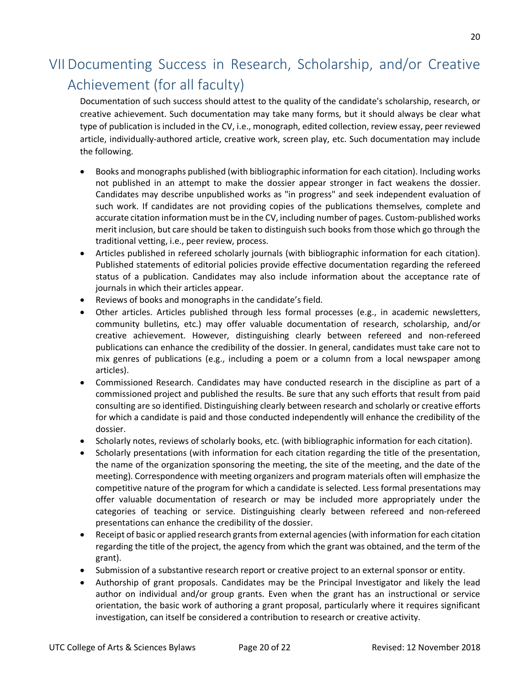# VII Documenting Success in Research, Scholarship, and/or Creative Achievement (for all faculty)

Documentation of such success should attest to the quality of the candidate's scholarship, research, or creative achievement. Such documentation may take many forms, but it should always be clear what type of publication is included in the CV, i.e., monograph, edited collection, review essay, peer reviewed article, individually-authored article, creative work, screen play, etc. Such documentation may include the following.

- Books and monographs published (with bibliographic information for each citation). Including works not published in an attempt to make the dossier appear stronger in fact weakens the dossier. Candidates may describe unpublished works as "in progress" and seek independent evaluation of such work. If candidates are not providing copies of the publications themselves, complete and accurate citation information must be in the CV, including number of pages. Custom-published works merit inclusion, but care should be taken to distinguish such books from those which go through the traditional vetting, i.e., peer review, process.
- Articles published in refereed scholarly journals (with bibliographic information for each citation). Published statements of editorial policies provide effective documentation regarding the refereed status of a publication. Candidates may also include information about the acceptance rate of journals in which their articles appear.
- Reviews of books and monographs in the candidate's field.
- Other articles. Articles published through less formal processes (e.g., in academic newsletters, community bulletins, etc.) may offer valuable documentation of research, scholarship, and/or creative achievement. However, distinguishing clearly between refereed and non-refereed publications can enhance the credibility of the dossier. In general, candidates must take care not to mix genres of publications (e.g., including a poem or a column from a local newspaper among articles).
- Commissioned Research. Candidates may have conducted research in the discipline as part of a commissioned project and published the results. Be sure that any such efforts that result from paid consulting are so identified. Distinguishing clearly between research and scholarly or creative efforts for which a candidate is paid and those conducted independently will enhance the credibility of the dossier.
- Scholarly notes, reviews of scholarly books, etc. (with bibliographic information for each citation).
- Scholarly presentations (with information for each citation regarding the title of the presentation, the name of the organization sponsoring the meeting, the site of the meeting, and the date of the meeting). Correspondence with meeting organizers and program materials often will emphasize the competitive nature of the program for which a candidate is selected. Less formal presentations may offer valuable documentation of research or may be included more appropriately under the categories of teaching or service. Distinguishing clearly between refereed and non-refereed presentations can enhance the credibility of the dossier.
- Receipt of basic or applied research grants from external agencies (with information for each citation regarding the title of the project, the agency from which the grant was obtained, and the term of the grant).
- Submission of a substantive research report or creative project to an external sponsor or entity.
- Authorship of grant proposals. Candidates may be the Principal Investigator and likely the lead author on individual and/or group grants. Even when the grant has an instructional or service orientation, the basic work of authoring a grant proposal, particularly where it requires significant investigation, can itself be considered a contribution to research or creative activity.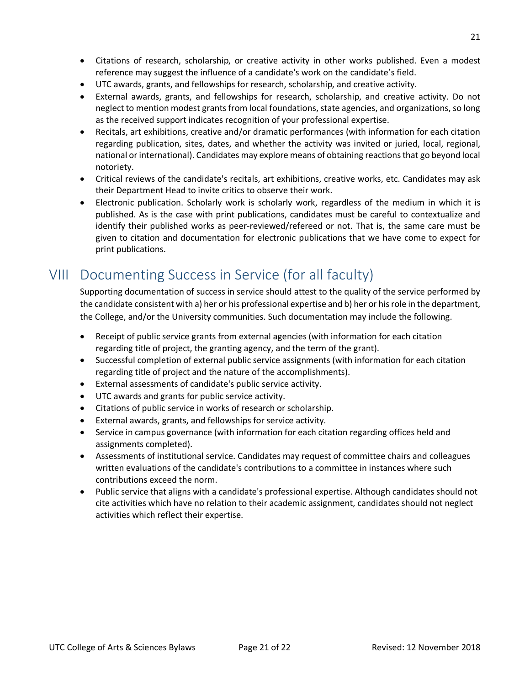- Citations of research, scholarship, or creative activity in other works published. Even a modest reference may suggest the influence of a candidate's work on the candidate's field.
- UTC awards, grants, and fellowships for research, scholarship, and creative activity.
- External awards, grants, and fellowships for research, scholarship, and creative activity. Do not neglect to mention modest grants from local foundations, state agencies, and organizations, so long as the received support indicates recognition of your professional expertise.
- Recitals, art exhibitions, creative and/or dramatic performances (with information for each citation regarding publication, sites, dates, and whether the activity was invited or juried, local, regional, national or international). Candidates may explore means of obtaining reactions that go beyond local notoriety.
- Critical reviews of the candidate's recitals, art exhibitions, creative works, etc. Candidates may ask their Department Head to invite critics to observe their work.
- Electronic publication. Scholarly work is scholarly work, regardless of the medium in which it is published. As is the case with print publications, candidates must be careful to contextualize and identify their published works as peer-reviewed/refereed or not. That is, the same care must be given to citation and documentation for electronic publications that we have come to expect for print publications.

# VIII Documenting Success in Service (for all faculty)

Supporting documentation of success in service should attest to the quality of the service performed by the candidate consistent with a) her or his professional expertise and b) her or hisrole in the department, the College, and/or the University communities. Such documentation may include the following.

- Receipt of public service grants from external agencies (with information for each citation regarding title of project, the granting agency, and the term of the grant).
- Successful completion of external public service assignments (with information for each citation regarding title of project and the nature of the accomplishments).
- External assessments of candidate's public service activity.
- UTC awards and grants for public service activity.
- Citations of public service in works of research or scholarship.
- External awards, grants, and fellowships for service activity.
- Service in campus governance (with information for each citation regarding offices held and assignments completed).
- Assessments of institutional service. Candidates may request of committee chairs and colleagues written evaluations of the candidate's contributions to a committee in instances where such contributions exceed the norm.
- Public service that aligns with a candidate's professional expertise. Although candidates should not cite activities which have no relation to their academic assignment, candidates should not neglect activities which reflect their expertise.